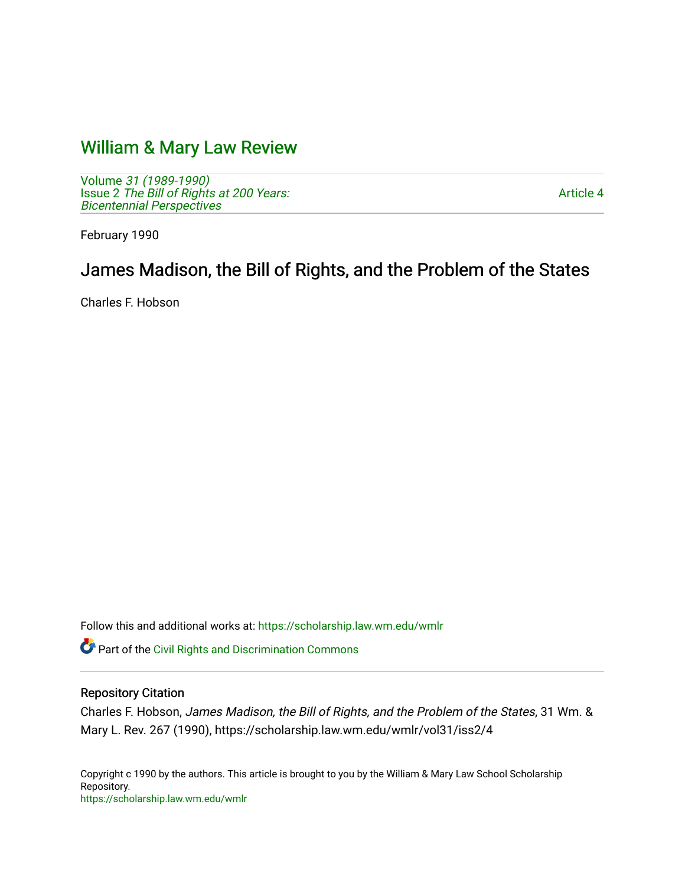# [William & Mary Law Review](https://scholarship.law.wm.edu/wmlr)

Volume [31 \(1989-1990\)](https://scholarship.law.wm.edu/wmlr/vol31)  Issue 2 The Bill of Rights at 200 Years: [Bicentennial Perspectives](https://scholarship.law.wm.edu/wmlr/vol31/iss2) 

[Article 4](https://scholarship.law.wm.edu/wmlr/vol31/iss2/4) 

February 1990

# James Madison, the Bill of Rights, and the Problem of the States

Charles F. Hobson

Follow this and additional works at: [https://scholarship.law.wm.edu/wmlr](https://scholarship.law.wm.edu/wmlr?utm_source=scholarship.law.wm.edu%2Fwmlr%2Fvol31%2Fiss2%2F4&utm_medium=PDF&utm_campaign=PDFCoverPages)

**Part of the Civil Rights and Discrimination Commons** 

## Repository Citation

Charles F. Hobson, James Madison, the Bill of Rights, and the Problem of the States, 31 Wm. & Mary L. Rev. 267 (1990), https://scholarship.law.wm.edu/wmlr/vol31/iss2/4

Copyright c 1990 by the authors. This article is brought to you by the William & Mary Law School Scholarship Repository. <https://scholarship.law.wm.edu/wmlr>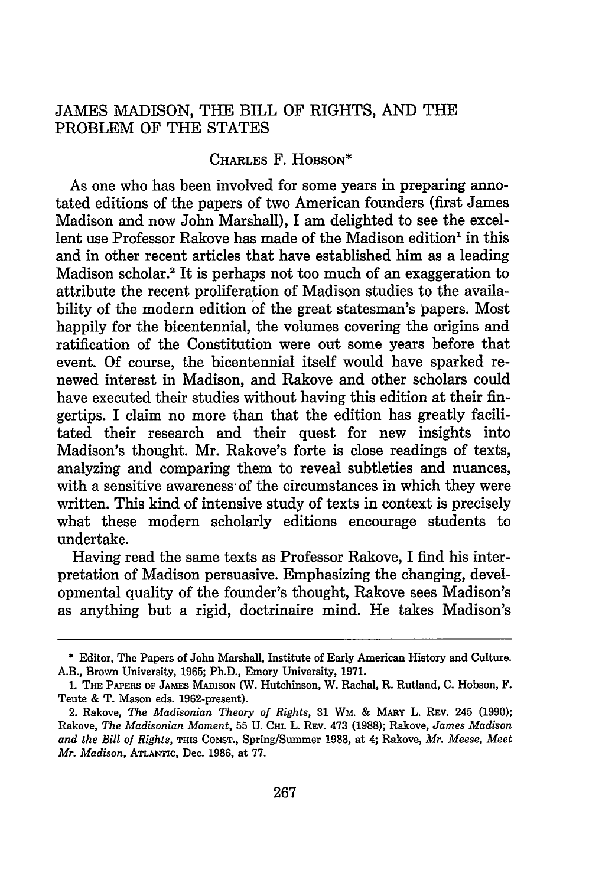### JAMES MADISON, THE BILL OF RIGHTS, AND THE PROBLEM OF THE STATES

#### CHARLES F. HOBSON\*

As one who has been involved for some years in preparing annotated editions of the papers of two American founders (first James Madison and now John Marshall), I am delighted to see the excellent use Professor Rakove has made of the Madison edition<sup>1</sup> in this and in other recent articles that have established him as a leading Madison scholar.2 It is perhaps not too much of an exaggeration to attribute the recent proliferation of Madison studies to the availability of the modern edition of the great statesman's papers. Most happily for the bicentennial, the volumes covering the origins and ratification of the Constitution were out some years before that event. Of course, the bicentennial itself would have sparked renewed interest in Madison, and Rakove and other scholars could have executed their studies without having this edition at their fingertips. I claim no more than that the edition has greatly facilitated their research and their quest for new insights into Madison's thought. Mr. Rakove's forte is close readings of texts, analyzing and comparing them to reveal subtleties and nuances, with a sensitive awareness of the circumstances in which they were written. This kind of intensive study of texts in context is precisely what these modern scholarly editions encourage students to undertake.

Having read the same texts as Professor Rakove, I find his interpretation of Madison persuasive. Emphasizing the changing, developmental quality of the founder's thought, Rakove sees Madison's as anything but a rigid, doctrinaire mind. He takes Madison's

**<sup>\*</sup>** Editor, The Papers of John Marshall, Institute of Early American History and Culture. A.B., Brown University, 1965; Ph.D., Emory University, 1971.

<sup>1.</sup> THE PAPERS **OF JAMES MADISON** (W. Hutchinson, W. Rachal, R. Rutland, **C.** Hobson, F. Teute & T. Mason eds. 1962-present).

<sup>2.</sup> Rakove, *The Madisonian Theory of Rights,* 31 **WM.** & **MARY** L. REV. 245 (1990); Rakove, *The Madisonian Moment,* 55 U. **CHI.** L. REv. 473 (1988); Rakove, *James Madison and the Bill of Rights,* **THIS CONST.,** Spring/Summer 1988, at 4; Rakove, *Mr. Meese, Meet Mr. Madison,* **ATLANTIC,** Dec. 1986, at 77.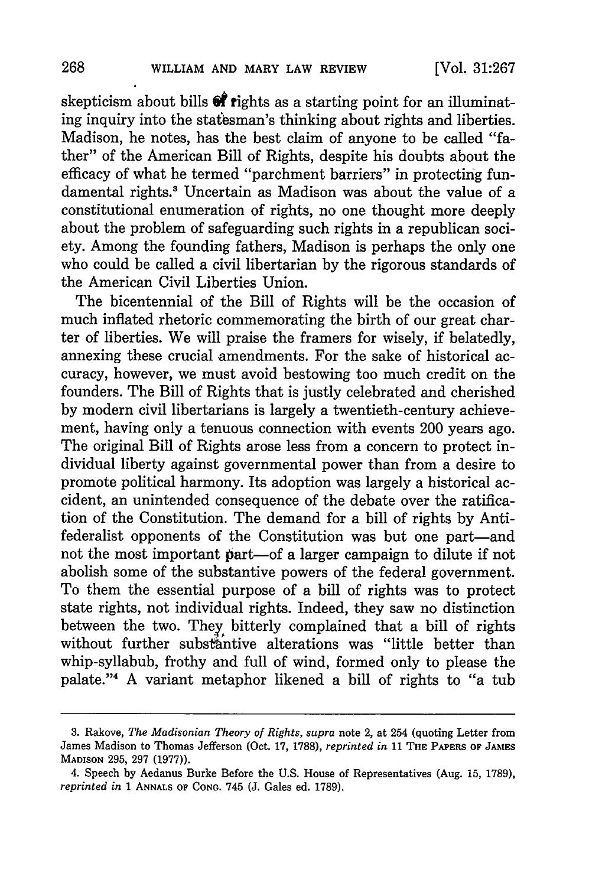skepticism about bills  $\mathbf{\hat{\mathcal{C}}}$  rights as a starting point for an illuminating inquiry into the statesman's thinking about rights and liberties. Madison, he notes, has the best claim of anyone to be called "father" of the American Bill of Rights, despite his doubts about the efficacy of what he termed "parchment barriers" in protecting fundamental rights.' Uncertain as Madison was about the value of a constitutional enumeration of rights, no one thought more deeply about the problem of safeguarding such rights in a republican society. Among the founding fathers, Madison is perhaps the only one who could be called a civil libertarian by the rigorous standards of the American Civil Liberties Union.

The bicentennial of the Bill of Rights will be the occasion of much inflated rhetoric commemorating the birth of our great charter of liberties. We will praise the framers for wisely, if belatedly, annexing these crucial amendments. For the sake of historical accuracy, however, we must avoid bestowing too much credit on the founders. The Bill of Rights that is justly celebrated and cherished by modern civil libertarians is largely a twentieth-century achievement, having only a tenuous connection with events 200 years ago. The original Bill of Rights arose less from a concern to protect individual liberty against governmental power than from a desire to promote political harmony. Its adoption was largely a historical accident, an unintended consequence of the debate over the ratification of the Constitution. The demand for a bill of rights by Antifederalist opponents of the Constitution was but one part-and not the most important part-of a larger campaign to dilute if not abolish some of the substantive powers of the federal government. To them the essential purpose of a bill of rights was to protect state rights, not individual rights. Indeed, they saw no distinction between the two. They bitterly complained that a bill of rights without further substantive alterations was "little better than whip-syllabub, frothy and full of wind, formed only to please the palate."4 **A** variant metaphor likened a bill of rights to "a tub

**<sup>3.</sup>** Rakove, *The Madisonian Theory of Rights, supra* note 2, at 254 (quoting Letter from James Madison to Thomas Jefferson (Oct. **17, 1788),** *reprinted in* **11** THE PAPERS OF **JAMES MADISON 295, 297 (1977)).**

<sup>4.</sup> Speech **by** Aedanus Burke Before the **U.S.** House of Representatives (Aug. **15, 1789),** *reprinted in* **1 ANNALS OF CONG.** 745 **(J.** Gales ed. **1789).**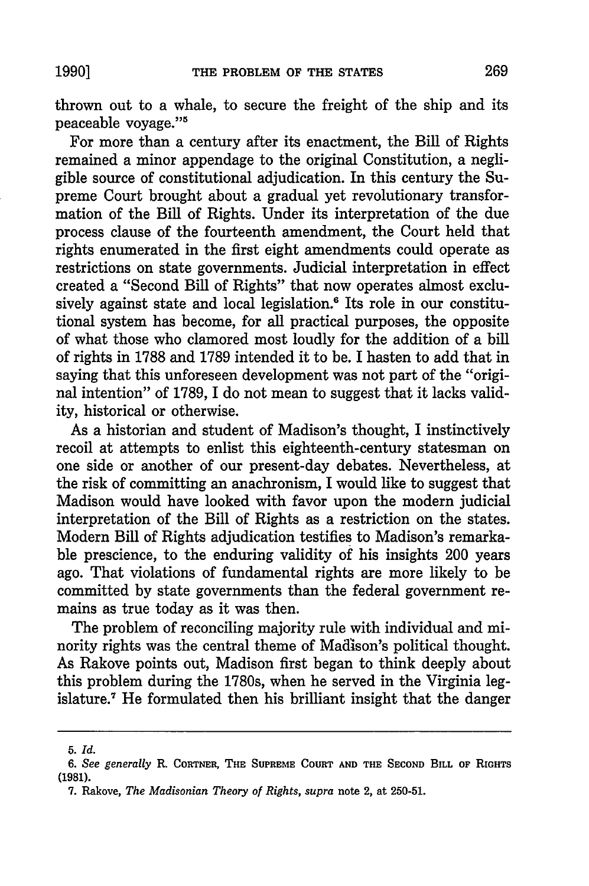thrown out to a whale, to secure the freight of the ship and its peaceable voyage."<sup>5</sup>

For more than a century after its enactment, the Bill of Rights remained a minor appendage to the original Constitution, a negligible source of constitutional adjudication. In this century the Supreme Court brought about a gradual yet revolutionary transformation of the Bill of Rights. Under its interpretation of the due process clause of the fourteenth amendment, the Court held that rights enumerated in the first eight amendments could operate as restrictions on state governments. Judicial interpretation in effect created a "Second Bill of Rights" that now operates almost exclusively against state and local legislation.<sup>6</sup> Its role in our constitutional system has become, for all practical purposes, the opposite of what those who clamored most loudly for the addition of a bill of rights in 1788 and 1789 intended it to be. I hasten to add that in saying that this unforeseen development was not part of the "original intention" of 1789, I do not mean to suggest that it lacks validity, historical or otherwise.

As a historian and student of Madison's thought, I instinctively recoil at attempts to enlist this eighteenth-century statesman on one side or another of our present-day debates. Nevertheless, at the risk of committing an anachronism, I would like to suggest that Madison would have looked with favor upon the modern judicial interpretation of the Bill of Rights as a restriction on the states. Modern Bill of Rights adjudication testifies to Madison's remarkable prescience, to the enduring validity of his insights 200 years ago. That violations of fundamental rights are more likely to be committed by state governments than the federal government remains as true today as it was then.

The problem of reconciling majority rule with individual and minority rights was the central theme of Madison's political thought. As Rakove points out, Madison first began to think deeply about this problem during the 1780s, when he served in the Virginia legislature.' He formulated then his brilliant insight that the danger

*<sup>5.</sup> Id.*

*<sup>6.</sup> See generally* R. CORTNER, **THE SUPREME COURT AND THE SECOND BILL OF** RIGHTS (1981).

**<sup>7.</sup>** Rakove, *The Madisonian Theory of Rights, supra* **note** 2, at **250-51.**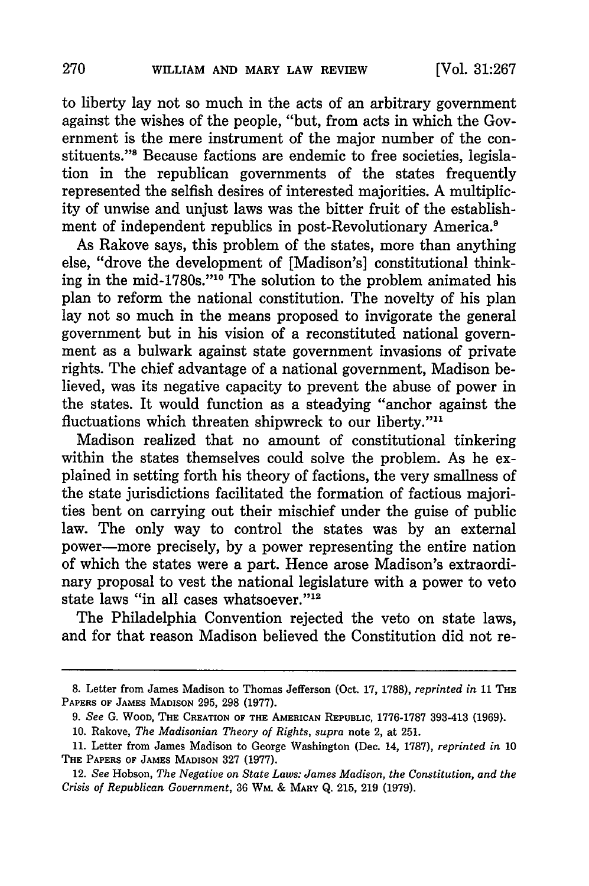to liberty lay not so much in the acts of an arbitrary government against the wishes of the people, "but, from acts in which the Government is the mere instrument of the major number of the constituents."" Because factions are endemic to free societies, legislation in the republican governments of the states frequently represented the selfish desires of interested majorities. A multiplicity of unwise and unjust laws was the bitter fruit of the establishment of independent republics in post-Revolutionary America.<sup>9</sup>

As Rakove says, this problem of the states, more than anything else, "drove the development of [Madison's] constitutional thinking in the mid-1780s."'10 The solution to the problem animated his plan to reform the national constitution. The novelty of his plan lay not so much in the means proposed to invigorate the general government but in his vision of a reconstituted national government as a bulwark against state government invasions of private rights. The chief advantage of a national government, Madison believed, was its negative capacity to prevent the abuse of power in the states. It would function as a steadying "anchor against the fluctuations which threaten shipwreck to our liberty."<sup>11</sup>

Madison realized that no amount of constitutional tinkering within the states themselves could solve the problem. As he explained in setting forth his theory of factions, the very smallness of the state jurisdictions facilitated the formation of factious majorities bent on carrying out their mischief under the guise of public law. The only way to control the states was by an external power-more precisely, by a power representing the entire nation of which the states were a part. Hence arose Madison's extraordinary proposal to vest the national legislature with a power to veto state laws "in all cases whatsoever. **"12**

The Philadelphia Convention rejected the veto on state laws, and for that reason Madison believed the Constitution did not re-

**<sup>8.</sup>** Letter from James Madison to Thomas Jefferson (Oct. 17, 1788), *reprinted in* 11 **THE PAPERS OF JAMES MADISON** 295, **298 (1977).**

*<sup>9.</sup> See* **G. WOOD, THE CREATION OF THE AMERICAN REPUBLIC, 1776-1787** 393-413 **(1969).**

**<sup>10.</sup>** Rakove, *The Madisonian Theory of Rights, supra* **note** 2, **at 251.**

<sup>11.</sup> Letter from James Madison to George Washington (Dec. 14, 1787), *reprinted in* 10 **THE** PAPERS **OF JAMES** MADISON 327 (1977).

<sup>12.</sup> *See* Hobson, *The Negative on State Laws: James Madison, the Constitution, and the Crisis of Republican Government,* 36 WM. **&** MARY Q. 215, **219** (1979).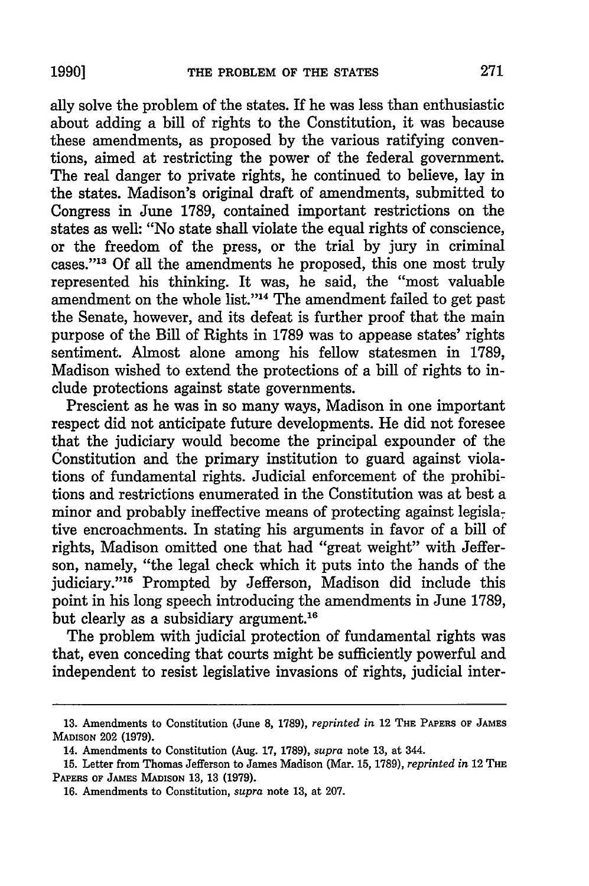ally solve the problem of the states. If he was less than enthusiastic about adding a bill of rights to the Constitution, it was because these amendments, as proposed by the various ratifying conventions, aimed at restricting the power of the federal government. The real danger to private rights, he continued to believe, lay in the states. Madison's original draft of amendments, submitted to Congress in June 1789, contained important restrictions on the states as well: "No state shall violate the equal rights of conscience, or the freedom of the press, or the trial by jury in criminal cases."<sup>13</sup> Of all the amendments he proposed, this one most truly represented his thinking. It was, he said, the "most valuable amendment on the whole list."<sup>14</sup> The amendment failed to get past the Senate, however, and its defeat is further proof that the main purpose of the Bill of Rights in 1789 was to appease states' rights sentiment. Almost alone among his fellow statesmen in 1789, Madison wished to extend the protections of a bill of rights to include protections against state governments.

Prescient as he was in so many ways, Madison in one important respect did not anticipate future developments. He did not foresee that the judiciary would become the principal expounder of the Constitution and the primary institution to guard against violations of fundamental rights. Judicial enforcement of the prohibitions and restrictions enumerated in the Constitution was at best a minor and probably ineffective means of protecting against legislative encroachments. In stating his arguments in favor of a bill of rights, Madison omitted one that had "great weight" with Jefferson, namely, "the legal check which it puts into the hands of the judiciary."<sup>15</sup> Prompted by Jefferson, Madison did include this point in his long speech introducing the amendments in June 1789, but clearly as a subsidiary argument.<sup>16</sup>

The problem with judicial protection of fundamental rights was that, even conceding that courts might be sufficiently powerful and independent to resist legislative invasions of rights, judicial inter-

**<sup>13.</sup>** Amendments to Constitution (June **8, 1789),** *reprinted in* 12 **THE PAPERS OF JAMES MADISON** 202 **(1979).**

<sup>14.</sup> Amendments to Constitution (Aug. **17, 1789),** *supra* note **13,** at 344.

**<sup>15.</sup>** Letter from Thomas Jefferson to James Madison (Mar. **15, 1789),** *reprinted in* 12 **THE** PAPERS **OF JAMES MADISON 13, 13** (1979).

**<sup>16.</sup> Amendments** to Constitution, *supra* **note 13, at 207.**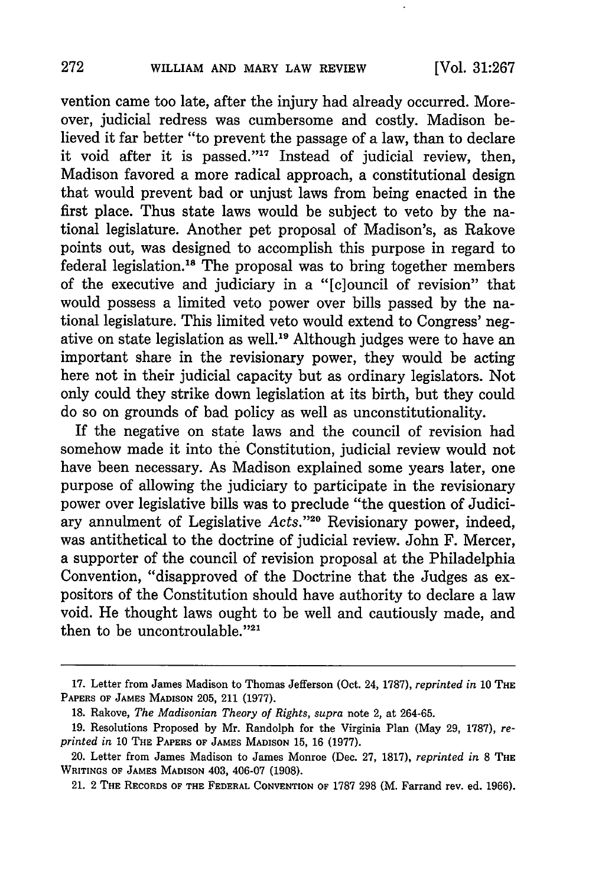vention came too late, after the injury had already occurred. Moreover, judicial redress was cumbersome and costly. Madison believed it far better "to prevent the passage of a law, than to declare it void after it is passed." $17$  Instead of judicial review, then, Madison favored a more radical approach, a constitutional design that would prevent bad or unjust laws from being enacted in the first place. Thus state laws would be subject to veto by the national legislature. Another pet proposal of Madison's, as Rakove points out, was designed to accomplish this purpose in regard to federal legislation.<sup>18</sup> The proposal was to bring together members of the executive and judiciary in a "[c]ouncil of revision" that would possess a limited veto power over bills passed by the national legislature. This limited veto would extend to Congress' negative on state legislation as well.<sup>19</sup> Although judges were to have an important share in the revisionary power, they would be acting here not in their judicial capacity but as ordinary legislators. Not only could they strike down legislation at its birth, but they could do so on grounds of bad policy as well as unconstitutionality.

If the negative on state laws and the council of revision had somehow made it into the Constitution, judicial review would not have been necessary. As Madison explained some years later, one purpose of allowing the judiciary to participate in the revisionary power over legislative bills was to preclude "the question of Judiciary annulment of Legislative *Acts."20* Revisionary power, indeed, was antithetical to the doctrine of judicial review. John F. Mercer, a supporter of the council of revision proposal at the Philadelphia Convention, "disapproved of the Doctrine that the Judges as expositors of the Constitution should have authority to declare a law void. He thought laws ought to be well and cautiously made, and then to be uncontroulable."21

<sup>17.</sup> Letter from James Madison to Thomas Jefferson (Oct. 24, 1787), *reprinted in* 10 **THE** PAPERS **OF JAMES MADISON** 205, 211 (1977).

<sup>18.</sup> Rakove, *The Madisonian Theory of Rights, supra* note 2, at 264-65.

<sup>19.</sup> Resolutions Proposed by Mr. Randolph for the Virginia Plan (May 29, 1787), *reprinted in* **10 THE PAPERS OF JAMES** MADISON **15, 16 (1977).**

<sup>20.</sup> Letter from James Madison to James Monroe (Dec. **27, 1817),** *reprinted in* **8 THE WRITINGS OF JAMES MADISON** 403, 406-07 **(1908).**

<sup>21. 2</sup> **THE** RECORDS OF THE FEDERAL **CONVENTION** OF 1787 298 (M. Farrand rev. ed. 1966).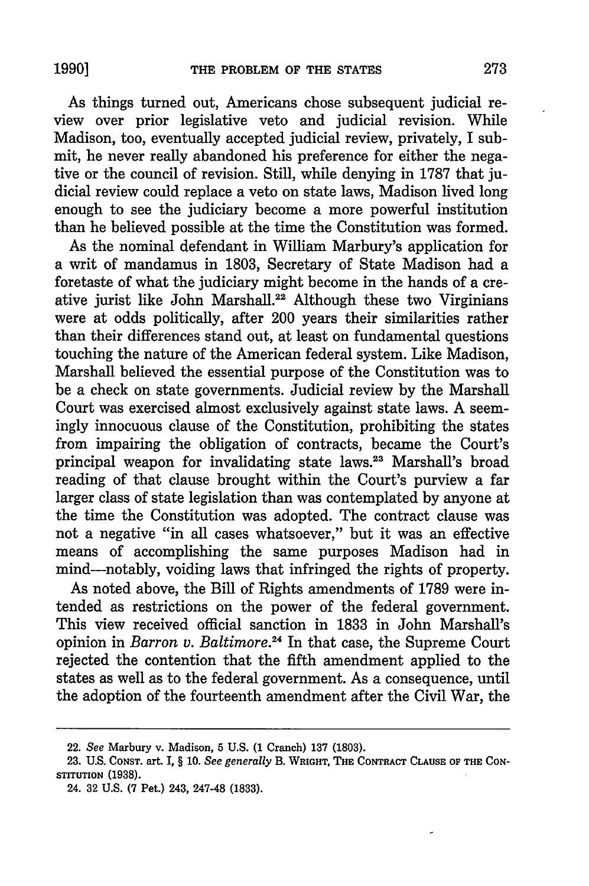As things turned out, Americans chose subsequent judicial review over prior legislative veto and judicial revision. While Madison, too, eventually accepted judicial review, privately, I submit, he never really abandoned his preference for either the negative or the council of revision. Still, while denying in 1787 that judicial review could replace a veto on state laws, Madison lived long enough to see the judiciary become a more powerful institution than he believed possible at the time the Constitution was formed.

As the nominal defendant in William Marbury's application for a writ of mandamus in 1803, Secretary of State Madison had a foretaste of what the judiciary might become in the hands of a creative jurist like John Marshall.<sup>22</sup> Although these two Virginians were at odds politically, after 200 years their similarities rather than their differences stand out, at least on fundamental questions touching the nature of the American federal system. Like Madison, Marshall believed the essential purpose of the Constitution was to be a check on state governments. Judicial review by the Marshall Court was exercised almost exclusively against state laws. A seemingly innocuous clause of the Constitution, prohibiting the states from impairing the obligation of contracts, became the Court's principal weapon for invalidating state laws.23 Marshall's broad reading of that clause brought within the Court's purview a far larger class of state legislation than was contemplated by anyone at the time the Constitution was adopted. The contract clause was not a negative "in all cases whatsoever," but it was an effective means of accomplishing the same purposes Madison had in mind-notably, voiding laws that infringed the rights of property.

As noted above, the Bill of Rights amendments of 1789 were intended as restrictions on the power of the federal government. This view received official sanction in 1833 in John Marshall's opinion in *Barron v. Baltimore.24* In that case, the Supreme Court rejected the contention that the fifth amendment applied to the states as well as to the federal government. As a consequence, until the adoption of the fourteenth amendment after the Civil War, the

<sup>22.</sup> *See* Marbury v. Madison, **5 U.S. (1** Cranch) 137 (1803).

**<sup>23.</sup> U.S.** CONsT. **art.** I, § **10.** *See generally* B. **WRIGHT, THE** CONTRACT **CLAUSE OF THE CON-STITUTION (1938).**

<sup>24.</sup> **32 U.S. (7 Pet.)** 243, 247-48 **(1833).**